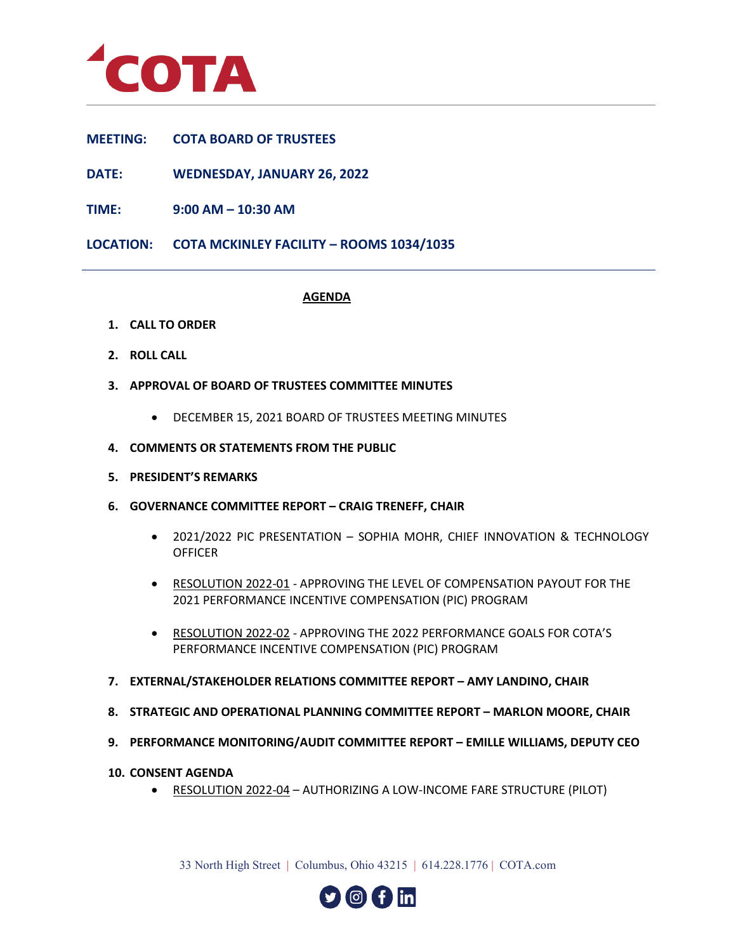

## **MEETING: COTA BOARD OF TRUSTEES**

**DATE: WEDNESDAY, JANUARY 26, 2022**

**TIME: 9:00 AM – 10:30 AM**

**LOCATION: COTA MCKINLEY FACILITY – ROOMS 1034/1035**

## **AGENDA**

- **1. CALL TO ORDER**
- **2. ROLL CALL**
- **3. APPROVAL OF BOARD OF TRUSTEES COMMITTEE MINUTES**
	- DECEMBER 15, 2021 BOARD OF TRUSTEES MEETING MINUTES
- **4. COMMENTS OR STATEMENTS FROM THE PUBLIC**
- **5. PRESIDENT'S REMARKS**
- **6. GOVERNANCE COMMITTEE REPORT – CRAIG TRENEFF, CHAIR**
	- 2021/2022 PIC PRESENTATION SOPHIA MOHR, CHIEF INNOVATION & TECHNOLOGY **OFFICER**
	- RESOLUTION 2022-01 APPROVING THE LEVEL OF COMPENSATION PAYOUT FOR THE 2021 PERFORMANCE INCENTIVE COMPENSATION (PIC) PROGRAM
	- RESOLUTION 2022-02 APPROVING THE 2022 PERFORMANCE GOALS FOR COTA'S PERFORMANCE INCENTIVE COMPENSATION (PIC) PROGRAM
- **7. EXTERNAL/STAKEHOLDER RELATIONS COMMITTEE REPORT – AMY LANDINO, CHAIR**
- **8. STRATEGIC AND OPERATIONAL PLANNING COMMITTEE REPORT – MARLON MOORE, CHAIR**
- **9. PERFORMANCE MONITORING/AUDIT COMMITTEE REPORT – EMILLE WILLIAMS, DEPUTY CEO**
- **10. CONSENT AGENDA**
	- RESOLUTION 2022-04 AUTHORIZING A LOW-INCOME FARE STRUCTURE (PILOT)

33 North High Street | Columbus, Ohio 43215 | 614.228.1776 | COTA.com

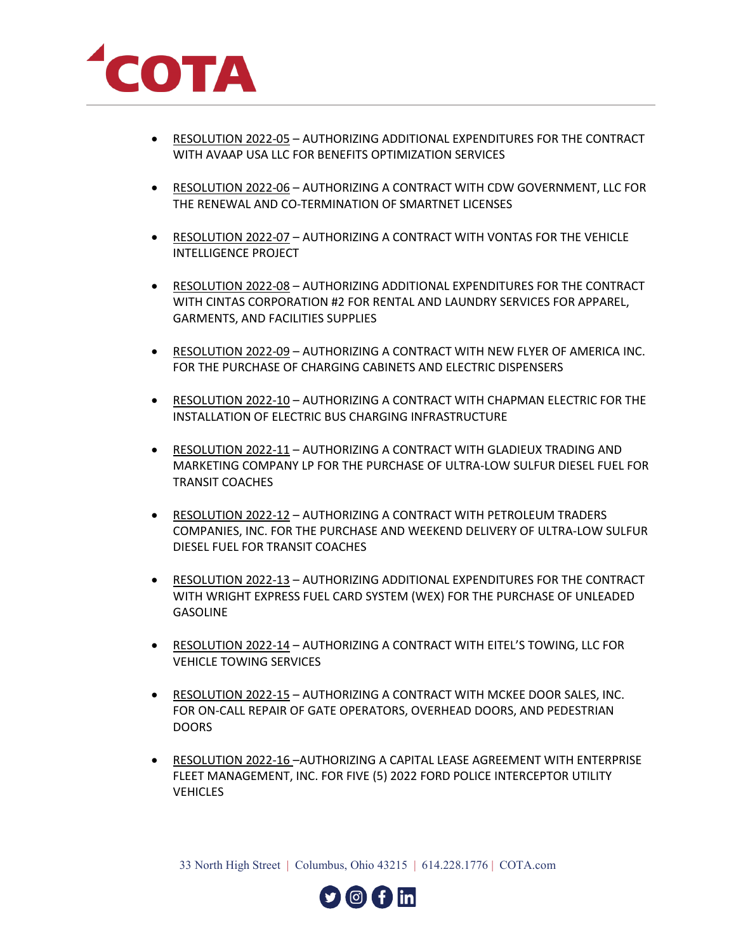

- RESOLUTION 2022-05 AUTHORIZING ADDITIONAL EXPENDITURES FOR THE CONTRACT WITH AVAAP USA LLC FOR BENEFITS OPTIMIZATION SERVICES
- RESOLUTION 2022-06 AUTHORIZING A CONTRACT WITH CDW GOVERNMENT, LLC FOR THE RENEWAL AND CO-TERMINATION OF SMARTNET LICENSES
- RESOLUTION 2022-07 AUTHORIZING A CONTRACT WITH VONTAS FOR THE VEHICLE INTELLIGENCE PROJECT
- RESOLUTION 2022-08 AUTHORIZING ADDITIONAL EXPENDITURES FOR THE CONTRACT WITH CINTAS CORPORATION #2 FOR RENTAL AND LAUNDRY SERVICES FOR APPAREL, GARMENTS, AND FACILITIES SUPPLIES
- RESOLUTION 2022-09 AUTHORIZING A CONTRACT WITH NEW FLYER OF AMERICA INC. FOR THE PURCHASE OF CHARGING CABINETS AND ELECTRIC DISPENSERS
- RESOLUTION 2022-10 AUTHORIZING A CONTRACT WITH CHAPMAN ELECTRIC FOR THE INSTALLATION OF ELECTRIC BUS CHARGING INFRASTRUCTURE
- RESOLUTION 2022-11 AUTHORIZING A CONTRACT WITH GLADIEUX TRADING AND MARKETING COMPANY LP FOR THE PURCHASE OF ULTRA-LOW SULFUR DIESEL FUEL FOR TRANSIT COACHES
- RESOLUTION 2022-12 AUTHORIZING A CONTRACT WITH PETROLEUM TRADERS COMPANIES, INC. FOR THE PURCHASE AND WEEKEND DELIVERY OF ULTRA-LOW SULFUR DIESEL FUEL FOR TRANSIT COACHES
- RESOLUTION 2022-13 AUTHORIZING ADDITIONAL EXPENDITURES FOR THE CONTRACT WITH WRIGHT EXPRESS FUEL CARD SYSTEM (WEX) FOR THE PURCHASE OF UNLEADED **GASOLINE**
- RESOLUTION 2022-14 AUTHORIZING A CONTRACT WITH EITEL'S TOWING, LLC FOR VEHICLE TOWING SERVICES
- RESOLUTION 2022-15 AUTHORIZING A CONTRACT WITH MCKEE DOOR SALES, INC. FOR ON-CALL REPAIR OF GATE OPERATORS, OVERHEAD DOORS, AND PEDESTRIAN **DOORS**
- RESOLUTION 2022-16 –AUTHORIZING A CAPITAL LEASE AGREEMENT WITH ENTERPRISE FLEET MANAGEMENT, INC. FOR FIVE (5) 2022 FORD POLICE INTERCEPTOR UTILITY **VEHICLES**

33 North High Street | Columbus, Ohio 43215 | 614.228.1776 | COTA.com